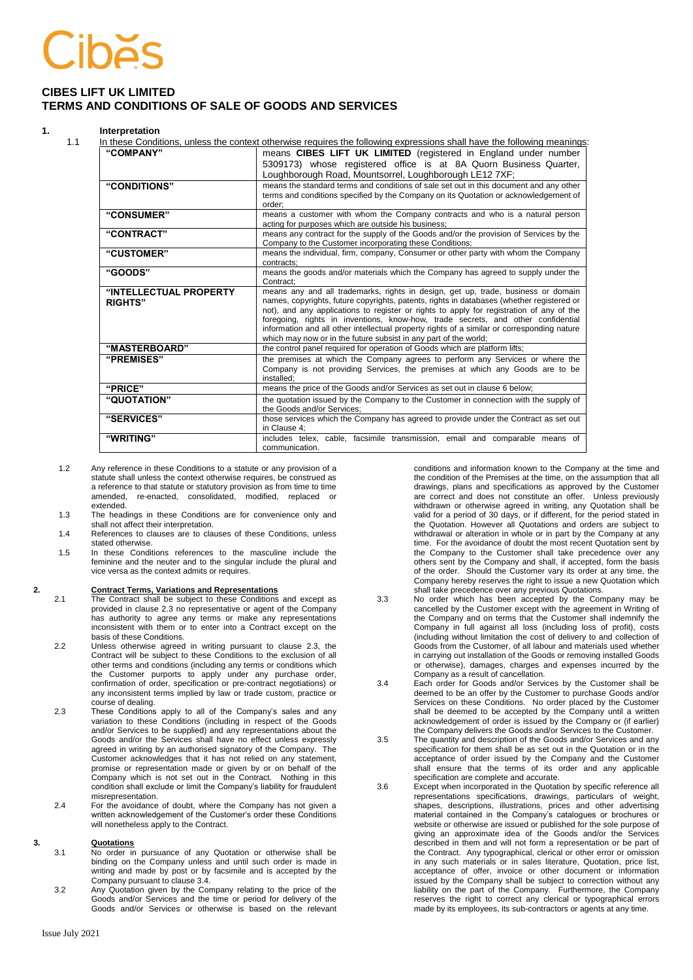### **CIBES LIFT UK LIMITED TERMS AND CONDITIONS OF SALE OF GOODS AND SERVICES**

### **1. Interpretation**

| "COMPANY"              | means CIBES LIFT UK LIMITED (registered in England under number                                                                                                                |
|------------------------|--------------------------------------------------------------------------------------------------------------------------------------------------------------------------------|
|                        | 5309173) whose registered office is at 8A Quorn Business Quarter,                                                                                                              |
|                        | Loughborough Road, Mountsorrel, Loughborough LE12 7XF;                                                                                                                         |
| "CONDITIONS"           | means the standard terms and conditions of sale set out in this document and any other                                                                                         |
|                        | terms and conditions specified by the Company on its Quotation or acknowledgement of                                                                                           |
|                        | order:                                                                                                                                                                         |
| "CONSUMER"             | means a customer with whom the Company contracts and who is a natural person                                                                                                   |
| "CONTRACT"             | acting for purposes which are outside his business;<br>means any contract for the supply of the Goods and/or the provision of Services by the                                  |
|                        | Company to the Customer incorporating these Conditions;                                                                                                                        |
| "CUSTOMER"             | means the individual, firm, company, Consumer or other party with whom the Company                                                                                             |
|                        | contracts:                                                                                                                                                                     |
| "GOODS"                | means the goods and/or materials which the Company has agreed to supply under the                                                                                              |
|                        | Contract:                                                                                                                                                                      |
| "INTELLECTUAL PROPERTY | means any and all trademarks, rights in design, get up, trade, business or domain<br>names, copyrights, future copyrights, patents, rights in databases (whether registered or |
| <b>RIGHTS"</b>         | not), and any applications to register or rights to apply for registration of any of the                                                                                       |
|                        | foregoing, rights in inventions, know-how, trade secrets, and other confidential                                                                                               |
|                        | information and all other intellectual property rights of a similar or corresponding nature                                                                                    |
|                        | which may now or in the future subsist in any part of the world;                                                                                                               |
| "MASTERBOARD"          | the control panel required for operation of Goods which are platform lifts;                                                                                                    |
| "PREMISES"             | the premises at which the Company agrees to perform any Services or where the                                                                                                  |
|                        | Company is not providing Services, the premises at which any Goods are to be                                                                                                   |
|                        | installed:                                                                                                                                                                     |
| "PRICE"                | means the price of the Goods and/or Services as set out in clause 6 below;                                                                                                     |
| "QUOTATION"            | the quotation issued by the Company to the Customer in connection with the supply of                                                                                           |
|                        | the Goods and/or Services:                                                                                                                                                     |
| "SERVICES"             | those services which the Company has agreed to provide under the Contract as set out<br>in Clause 4:                                                                           |
| "WRITING"              | includes telex, cable, facsimile transmission, email and comparable means of                                                                                                   |
|                        | communication.                                                                                                                                                                 |

- 1.2 Any reference in these Conditions to a statute or any provision of a statute shall unless the context otherwise requires, be construed as a reference to that statute or statutory provision as from time to time re-enacted, consolidated, modified, extended.
- 1.3 The headings in these Conditions are for convenience only and shall not affect their interpretation.
- 1.4 References to clauses are to clauses of these Conditions, unless stated otherwise.
- 1.5 In these Conditions references to the masculine include the feminine and the neuter and to the singular include the plural and vice versa as the context admits or requires.

# **2. Contract Terms, Variations and Representations**

- The Contract shall be subject to these Conditions and except as provided in clause 2.3 no representative or agent of the Company has authority to agree any terms or make any representations inconsistent with them or to enter into a Contract except on the basis of these Conditions.
- 2.2 Unless otherwise agreed in writing pursuant to clause 2.3, the Contract will be subject to these Conditions to the exclusion of all other terms and conditions (including any terms or conditions which the Customer purports to apply under any purchase order, confirmation of order, specification or pre-contract negotiations) or any inconsistent terms implied by law or trade custom, practice or course of dealing.
- <span id="page-0-1"></span>2.3 These Conditions apply to all of the Company's sales and any variation to these Conditions (including in respect of the Goods and/or Services to be supplied) and any representations about the Goods and/or the Services shall have no effect unless expressly agreed in writing by an authorised signatory of the Company. The Customer acknowledges that it has not relied on any statement, promise or representation made or given by or on behalf of the Company which is not set out in the Contract. Nothing in this condition shall exclude or limit the Company's liability for fraudulent misrepresentation.
- 2.4 For the avoidance of doubt, where the Company has not given a written acknowledgement of the Customer's order these Conditions will nonetheless apply to the Contract.

### **3. Quotations**

- 3.1 No order in pursuance of any Quotation or otherwise shall be binding on the Company unless and until such order is made in writing and made by post or by facsimile and is accepted by the Company pursuant to claus[e 3.4.](#page-0-0)
- 3.2 Any Quotation given by the Company relating to the price of the Goods and/or Services and the time or period for delivery of the Goods and/or Services or otherwise is based on the relevant

conditions and information known to the Company at the time and the condition of the Premises at the time, on the assumption that all drawings, plans and specifications as approved by the Customer are correct and does not constitute an offer. Unless previously withdrawn or otherwise agreed in writing, any Quotation shall be valid for a period of 30 days, or if different, for the period stated in the Quotation. However all Quotations and orders are subject to withdrawal or alteration in whole or in part by the Company at any time. For the avoidance of doubt the most recent Quotation sent by the Company to the Customer shall take precedence over any others sent by the Company and shall, if accepted, form the basis of the order. Should the Customer vary its order at any time, the Company hereby reserves the right to issue a new Quotation which shall take precedence over any previous Quotations.

- 3.3 No order which has been accepted by the Company may be cancelled by the Customer except with the agreement in Writing of the Company and on terms that the Customer shall indemnify the Company in full against all loss (including loss of profit), costs (including without limitation the cost of delivery to and collection of Goods from the Customer, of all labour and materials used whether in carrying out installation of the Goods or removing installed Goods or otherwise), damages, charges and expenses incurred by the Company as a result of cancellation.
- <span id="page-0-0"></span>3.4 Each order for Goods and/or Services by the Customer shall be deemed to be an offer by the Customer to purchase Goods and/or Services on these Conditions. No order placed by the Customer shall be deemed to be accepted by the Company until a written acknowledgement of order is issued by the Company or (if earlier) the Company delivers the Goods and/or Services to the Customer.
- 3.5 The quantity and description of the Goods and/or Services and any specification for them shall be as set out in the Quotation or in the acceptance of order issued by the Company and the Customer shall ensure that the terms of its order and any applicable specification are complete and accurate.
- 3.6 Except when incorporated in the Quotation by specific reference all representations specifications, drawings, particulars of weight, shapes, descriptions, illustrations, prices and other advertising material contained in the Company's catalogues or brochures or website or otherwise are issued or published for the sole purpose of giving an approximate idea of the Goods and/or the Services described in them and will not form a representation or be part of the Contract. Any typographical, clerical or other error or omission in any such materials or in sales literature, Quotation, price list, acceptance of offer, invoice or other document or information issued by the Company shall be subject to correction without any liability on the part of the Company. Furthermore, the Company reserves the right to correct any clerical or typographical errors made by its employees, its sub-contractors or agents at any time.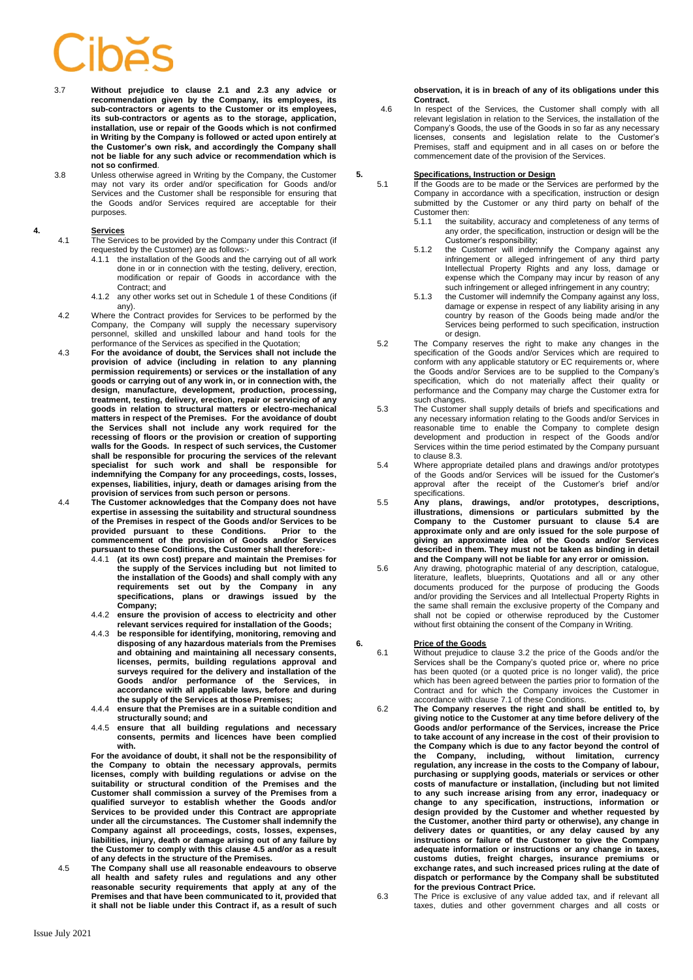- 3.7 **Without prejudice to clause 2.1 and [2.3](#page-0-1) any advice or recommendation given by the Company, its employees, its sub-contractors or agents to the Customer or its employees, its sub-contractors or agents as to the storage, application, installation, use or repair of the Goods which is not confirmed in Writing by the Company is followed or acted upon entirely at the Customer's own risk, and accordingly the Company shall not be liable for any such advice or recommendation which is not so confirmed**.
- 3.8 Unless otherwise agreed in Writing by the Company, the Customer may not vary its order and/or specification for Goods and/or Services and the Customer shall be responsible for ensuring that the Goods and/or Services required are acceptable for their purposes.

### **4. Services**

- 4.1 The Services to be provided by the Company under this Contract (if requested by the Customer) are as follows:-
	- 4.1.1 the installation of the Goods and the carrying out of all work done in or in connection with the testing, delivery, erection, modification or repair of Goods in accordance with the Contract; and
	- 4.1.2 any other works set out in Schedule 1 of these Conditions (if any).
- 4.2 Where the Contract provides for Services to be performed by the Company, the Company will supply the necessary supervisory personnel, skilled and unskilled labour and hand tools for the performance of the Services as specified in the Quotation;
- 4.3 **For the avoidance of doubt, the Services shall not include the provision of advice (including in relation to any planning permission requirements) or services or the installation of any goods or carrying out of any work in, or in connection with, the design, manufacture, development, production, processing, treatment, testing, delivery, erection, repair or servicing of any goods in relation to structural matters or electro-mechanical matters in respect of the Premises. For the avoidance of doubt the Services shall not include any work required for the recessing of floors or the provision or creation of supporting walls for the Goods. In respect of such services, the Customer shall be responsible for procuring the services of the relevant specialist for such work and shall be responsible for indemnifying the Company for any proceedings, costs, losses, expenses, liabilities, injury, death or damages arising from the provision of services from such person or persons**.
- 4.4 **The Customer acknowledges that the Company does not have expertise in assessing the suitability and structural soundness of the Premises in respect of the Goods and/or Services to be provided pursuant to these Conditions. Prior to the commencement of the provision of Goods and/or Services pursuant to these Conditions, the Customer shall therefore:-**
	- 4.4.1 **(at its own cost) prepare and maintain the Premises for the supply of the Services including but not limited to the installation of the Goods) and shall comply with any requirements set out by the Company in any specifications, plans or drawings issued by the Company;**
	- 4.4.2 **ensure the provision of access to electricity and other relevant services required for installation of the Goods;**
	- 4.4.3 **be responsible for identifying, monitoring, removing and disposing of any hazardous materials from the Premises and obtaining and maintaining all necessary consents, licenses, permits, building regulations approval and surveys required for the delivery and installation of the Goods and/or performance of the Services, in accordance with all applicable laws, before and during the supply of the Services at those Premises;**
	- 4.4.4 **ensure that the Premises are in a suitable condition and structurally sound; and**
	- 4.4.5 **ensure that all building regulations and necessary consents, permits and licences have been complied with.**

**For the avoidance of doubt, it shall not be the responsibility of the Company to obtain the necessary approvals, permits licenses, comply with building regulations or advise on the suitability or structural condition of the Premises and the Customer shall commission a survey of the Premises from a qualified surveyor to establish whether the Goods and/or Services to be provided under this Contract are appropriate under all the circumstances. The Customer shall indemnify the Company against all proceedings, costs, losses, expenses, liabilities, injury, death or damage arising out of any failure by the Customer to comply with this clause 4.5 and/or as a result of any defects in the structure of the Premises.**

4.5 **The Company shall use all reasonable endeavours to observe all health and safety rules and regulations and any other reasonable security requirements that apply at any of the Premises and that have been communicated to it, provided that it shall not be liable under this Contract if, as a result of such** 

**observation, it is in breach of any of its obligations under this Contract.**

4.6 In respect of the Services, the Customer shall comply with all relevant legislation in relation to the Services, the installation of the Company's Goods, the use of the Goods in so far as any necessary licenses, consents and legislation relate to the Customer's Premises, staff and equipment and in all cases on or before the commencement date of the provision of the Services.

## **5. Specifications, Instruction or Design**

- 5.1 If the Goods are to be made or the Services are performed by the Company in accordance with a specification, instruction or design submitted by the Customer or any third party on behalf of the Customer then:<br>5.1.1 the sui
	- the suitability, accuracy and completeness of any terms of any order, the specification, instruction or design will be the Customer's responsibility;
	- 5.1.2 the Customer will indemnify the Company against any infringement or alleged infringement of any third party Intellectual Property Rights and any loss, damage or expense which the Company may incur by reason of any such infringement or alleged infringement in any country;
	- 5.1.3 the Customer will indemnify the Company against any loss, damage or expense in respect of any liability arising in any country by reason of the Goods being made and/or the Services being performed to such specification, instruction or design.
- 5.2 The Company reserves the right to make any changes in the specification of the Goods and/or Services which are required to conform with any applicable statutory or EC requirements or, where the Goods and/or Services are to be supplied to the Company's specification, which do not materially affect their quality or performance and the Company may charge the Customer extra for such changes.
- 5.3 The Customer shall supply details of briefs and specifications and any necessary information relating to the Goods and/or Services in reasonable time to enable the Company to complete design development and production in respect of the Goods and/or Services within the time period estimated by the Company pursuant to claus[e 8.3.](#page-2-0)
- 5.4 Where appropriate detailed plans and drawings and/or prototypes of the Goods and/or Services will be issued for the Customer's approval after the receipt of the Customer's brief and/or
- specifications.<br>Any plans, 5.5 **Any plans, drawings, and/or prototypes, descriptions, illustrations, dimensions or particulars submitted by the Company to the Customer pursuant to clause 5.4 are approximate only and are only issued for the sole purpose of giving an approximate idea of the Goods and/or Services described in them. They must not be taken as binding in detail and the Company will not be liable for any error or omission.**
- 5.6 Any drawing, photographic material of any description, catalogue, literature, leaflets, blueprints, Quotations and all or any other documents produced for the purpose of producing the Goods and/or providing the Services and all Intellectual Property Rights in the same shall remain the exclusive property of the Company and shall not be copied or otherwise reproduced by the Customer without first obtaining the consent of the Company in Writing.

## **6. Price of the Goods**

- Without prejudice to clause 3.2 the price of the Goods and/or the Services shall be the Company's quoted price or, where no price has been quoted (or a quoted price is no longer valid), the price which has been agreed between the parties prior to formation of the Contract and for which the Company invoices the Customer in accordance with claus[e 7.1](#page-2-1) of these Conditions.
- 6.2 **The Company reserves the right and shall be entitled to, by giving notice to the Customer at any time before delivery of the Goods and/or performance of the Services, increase the Price to take account of any increase in the cost of their provision to the Company which is due to any factor beyond the control of the Company, including***,* **without limitation, currency regulation, any increase in the costs to the Company of labour, purchasing or supplying goods, materials or services or other costs of manufacture or installation, (including but not limited to any such increase arising from any error, inadequacy or change to any specification, instructions, information or design provided by the Customer and whether requested by the Customer, another third party or otherwise), any change in delivery dates or quantities, or any delay caused by any instructions or failure of the Customer to give the Company adequate information or instructions or any change in taxes, customs duties, freight charges, insurance premiums or exchange rates, and such increased prices ruling at the date of dispatch or performance by the Company shall be substituted for the previous Contract Price.**
- 6.3 The Price is exclusive of any value added tax, and if relevant all taxes, duties and other government charges and all costs or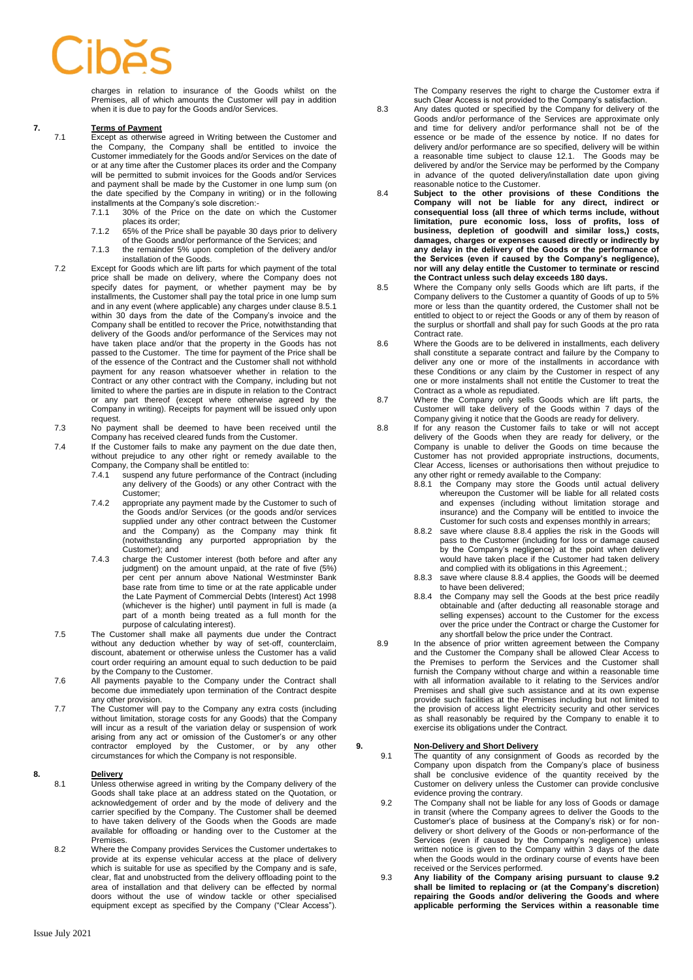charges in relation to insurance of the Goods whilst on the Premises, all of which amounts the Customer will pay in addition when it is due to pay for the Goods and/or Services.

# <span id="page-2-1"></span>**7. Terms of Payment**<br>**7.1 Except as otherwise**

Except as otherwise agreed in Writing between the Customer and the Company, the Company shall be entitled to invoice the Customer immediately for the Goods and/or Services on the date of or at any time after the Customer places its order and the Company will be permitted to submit invoices for the Goods and/or Services and payment shall be made by the Customer in one lump sum (on the date specified by the Company in writing) or in the following installments at the Company's sole discretion:<br>7.1.1 30% of the Price on the date on

- 30% of the Price on the date on which the Customer places its order;
- 7.1.2 65% of the Price shall be payable 30 days prior to delivery of the Goods and/or performance of the Services; and
- 7.1.3 the remainder 5% upon completion of the delivery and/or installation of the Goods.
- 7.2 Except for Goods which are lift parts for which payment of the total price shall be made on delivery, where the Company does not specify dates for payment, or whether payment may be by installments, the Customer shall pay the total price in one lump sum and in any event (where applicable) any charges under clause 8.5.1 within 30 days from the date of the Company's invoice and the Company shall be entitled to recover the Price, notwithstanding that delivery of the Goods and/or performance of the Services may not have taken place and/or that the property in the Goods has not passed to the Customer. The time for payment of the Price shall be of the essence of the Contract and the Customer shall not withhold payment for any reason whatsoever whether in relation to the Contract or any other contract with the Company, including but not limited to where the parties are in dispute in relation to the Contract or any part thereof (except where otherwise agreed by the Company in writing). Receipts for payment will be issued only upon request.
- 7.3 No payment shall be deemed to have been received until the Company has received cleared funds from the Customer.
- 7.4 If the Customer fails to make any payment on the due date then, without prejudice to any other right or remedy available to the Company, the Company shall be entitled to:
	- 7.4.1 suspend any future performance of the Contract (including any delivery of the Goods) or any other Contract with the Customer;
	- 7.4.2 appropriate any payment made by the Customer to such of the Goods and/or Services (or the goods and/or services supplied under any other contract between the Customer and the Company) as the Company may think fit (notwithstanding any purported appropriation by the Customer); and
	- 7.4.3 charge the Customer interest (both before and after any judgment) on the amount unpaid, at the rate of five (5%) per cent per annum above National Westminster Bank base rate from time to time or at the rate applicable under the Late Payment of Commercial Debts (Interest) Act 1998 (whichever is the higher) until payment in full is made (a part of a month being treated as a full month for the purpose of calculating interest).
- 7.5 The Customer shall make all payments due under the Contract without any deduction whether by way of set-off, counterclaim, discount, abatement or otherwise unless the Customer has a valid court order requiring an amount equal to such deduction to be paid by the Company to the Customer.
- 7.6 All payments payable to the Company under the Contract shall become due immediately upon termination of the Contract despite any other provision.
- 7.7 The Customer will pay to the Company any extra costs (including without limitation, storage costs for any Goods) that the Company will incur as a result of the variation delay or suspension of work arising from any act or omission of the Customer's or any other contractor employed by the Customer, or by any other circumstances for which the Company is not responsible.

# **8. Delivery**<br>**8.1 Unless of**

- Unless otherwise agreed in writing by the Company delivery of the Goods shall take place at an address stated on the Quotation, or acknowledgement of order and by the mode of delivery and the carrier specified by the Company. The Customer shall be deemed to have taken delivery of the Goods when the Goods are made available for offloading or handing over to the Customer at the Premises.
- 8.2 Where the Company provides Services the Customer undertakes to provide at its expense vehicular access at the place of delivery which is suitable for use as specified by the Company and is safe, clear, flat and unobstructed from the delivery offloading point to the area of installation and that delivery can be effected by normal doors without the use of window tackle or other specialised equipment except as specified by the Company ("Clear Access").

<span id="page-2-0"></span>The Company reserves the right to charge the Customer extra if such Clear Access is not provided to the Company's satisfaction.

- 8.3 Any dates quoted or specified by the Company for delivery of the Goods and/or performance of the Services are approximate only and time for delivery and/or performance shall not be of the essence or be made of the essence by notice. If no dates for delivery and/or performance are so specified, delivery will be within a reasonable time subject to clause 12.1. The Goods may be delivered by and/or the Service may be performed by the Company in advance of the quoted delivery/installation date upon giving reasonable notice to the Customer.
- <span id="page-2-2"></span>8.4 **Subject to the other provisions of these Conditions the Company will not be liable for any direct, indirect or consequential loss (all three of which terms include, without limitation, pure economic loss, loss of profits, loss of business, depletion of goodwill and similar loss,) costs, damages, charges or expenses caused directly or indirectly by any delay in the delivery of the Goods or the performance of the Services (even if caused by the Company's negligence), nor will any delay entitle the Customer to terminate or rescind the Contract unless such delay exceeds 180 days.**
- 8.5 Where the Company only sells Goods which are lift parts, if the Company delivers to the Customer a quantity of Goods of up to 5% more or less than the quantity ordered, the Customer shall not be entitled to object to or reject the Goods or any of them by reason of the surplus or shortfall and shall pay for such Goods at the pro rata Contract rate.
- 8.6 Where the Goods are to be delivered in installments, each delivery shall constitute a separate contract and failure by the Company to deliver any one or more of the installments in accordance with these Conditions or any claim by the Customer in respect of any one or more instalments shall not entitle the Customer to treat the Contract as a whole as repudiated.
- 8.7 Where the Company only sells Goods which are lift parts, the Customer will take delivery of the Goods within 7 days of the Company giving it notice that the Goods are ready for delivery.
- 8.8 If for any reason the Customer fails to take or will not accept delivery of the Goods when they are ready for delivery, or the Company is unable to deliver the Goods on time because the Customer has not provided appropriate instructions, documents, Clear Access, licenses or authorisations then without prejudice to any other right or remedy available to the Company:
	- 8.8.1 the Company may store the Goods until actual delivery whereupon the Customer will be liable for all related costs and expenses (including without limitation storage and insurance) and the Company will be entitled to invoice the Customer for such costs and expenses monthly in arrears;
	- 8.8.2 save where clause 8.8.4 applies the risk in the Goods will pass to the Customer (including for loss or damage caused by the Company's negligence) at the point when delivery would have taken place if the Customer had taken delivery and complied with its obligations in this Agreement.;
	- 8.8.3 save where clause 8.8.4 applies, the Goods will be deemed to have been delivered;
	- 8.8.4 the Company may sell the Goods at the best price readily obtainable and (after deducting all reasonable storage and selling expenses) account to the Customer for the excess over the price under the Contract or charge the Customer for any shortfall below the price under the Contract.
- 8.9 In the absence of prior written agreement between the Company and the Customer the Company shall be allowed Clear Access to the Premises to perform the Services and the Customer shall furnish the Company without charge and within a reasonable time with all information available to it relating to the Services and/or Premises and shall give such assistance and at its own expense provide such facilities at the Premises including but not limited to the provision of access light electricity security and other services as shall reasonably be required by the Company to enable it to exercise its obligations under the Contract.

## **9. <u>Non-Delivery and Short Delivery</u>**<br>**19.1 The quantity of any consignment**

- 9.1 The quantity of any consignment of Goods as recorded by the Company upon dispatch from the Company's place of business shall be conclusive evidence of the quantity received by the Customer on delivery unless the Customer can provide conclusive evidence proving the contrary.
- 9.2 The Company shall not be liable for any loss of Goods or damage in transit (where the Company agrees to deliver the Goods to the Customer's place of business at the Company's risk) or for nondelivery or short delivery of the Goods or non-performance of the Services (even if caused by the Company's negligence) unless written notice is given to the Company within 3 days of the date when the Goods would in the ordinary course of events have been received or the Services performed.
- 9.3 **Any liability of the Company arising pursuant to clause 9.2 shall be limited to replacing or (at the Company's discretion) repairing the Goods and/or delivering the Goods and where applicable performing the Services within a reasonable time**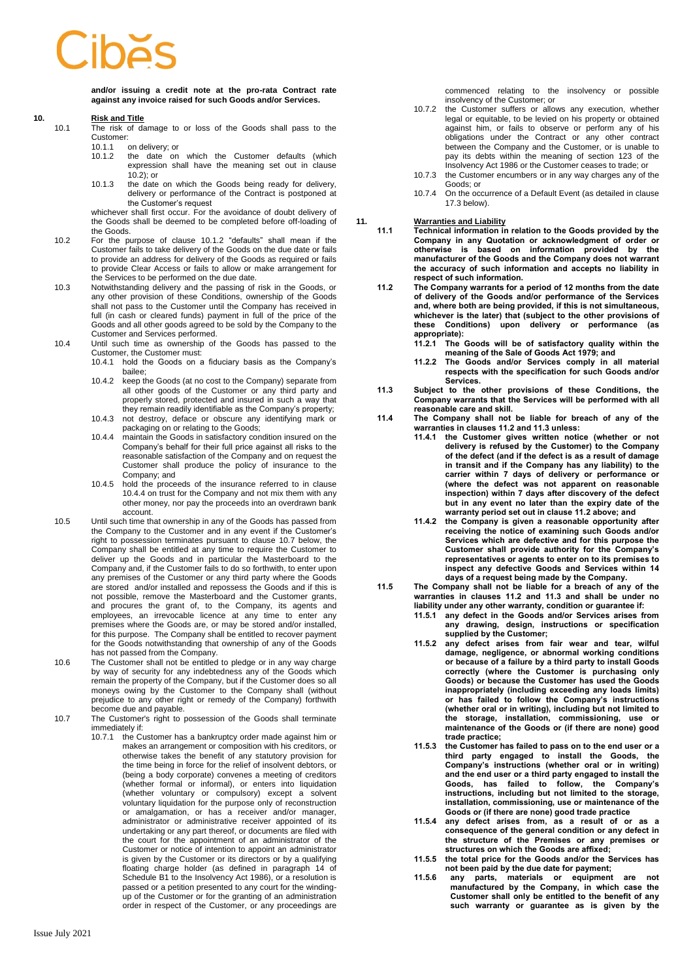**and/or issuing a credit note at the pro-rata Contract rate against any invoice raised for such Goods and/or Services.** 

## **10. Risk and Title**

- The risk of damage to or loss of the Goods shall pass to the Customer:<br>10.1.1
	- 10.1.1 on delivery; or<br>10.1.2 the date on the date on which the Customer defaults (which expression shall have the meaning set out in clause 10.2); or
	- 10.1.3 the date on which the Goods being ready for delivery, delivery or performance of the Contract is postponed at the Customer's request

whichever shall first occur. For the avoidance of doubt delivery of the Goods shall be deemed to be completed before off-loading of the Goods.

- 10.2 For the purpose of clause 10.1.2 "defaults" shall mean if the Customer fails to take delivery of the Goods on the due date or fails to provide an address for delivery of the Goods as required or fails to provide Clear Access or fails to allow or make arrangement for the Services to be performed on the due date.
- 10.3 Notwithstanding delivery and the passing of risk in the Goods, or any other provision of these Conditions, ownership of the Goods shall not pass to the Customer until the Company has received in full (in cash or cleared funds) payment in full of the price of the Goods and all other goods agreed to be sold by the Company to the Customer and Services performed.
- 10.4 Until such time as ownership of the Goods has passed to the Customer, the Customer must:
	- 10.4.1 hold the Goods on a fiduciary basis as the Company's bailee;
	- 10.4.2 keep the Goods (at no cost to the Company) separate from all other goods of the Customer or any third party and properly stored, protected and insured in such a way that they remain readily identifiable as the Company's property;
	- 10.4.3 not destroy, deface or obscure any identifying mark or packaging on or relating to the Goods;
	- 10.4.4 maintain the Goods in satisfactory condition insured on the Company's behalf for their full price against all risks to the reasonable satisfaction of the Company and on request the Customer shall produce the policy of insurance to the Company; and
	- 10.4.5 hold the proceeds of the insurance referred to in clause [10.4.4](#page-3-0) on trust for the Company and not mix them with any other money, nor pay the proceeds into an overdrawn bank account.
- <span id="page-3-0"></span>10.5 Until such time that ownership in any of the Goods has passed from the Company to the Customer and in any event if the Customer's right to possession terminates pursuant to clause 10.7 below, the Company shall be entitled at any time to require the Customer to deliver up the Goods and in particular the Masterboard to the Company and, if the Customer fails to do so forthwith, to enter upon any premises of the Customer or any third party where the Goods are stored and/or installed and repossess the Goods and if this is not possible, remove the Masterboard and the Customer grants, and procures the grant of, to the Company, its agents and employees, an irrevocable licence at any time to enter any premises where the Goods are, or may be stored and/or installed, for this purpose. The Company shall be entitled to recover payment for the Goods notwithstanding that ownership of any of the Goods has not passed from the Company.
- 10.6 The Customer shall not be entitled to pledge or in any way charge by way of security for any indebtedness any of the Goods which remain the property of the Company, but if the Customer does so all moneys owing by the Customer to the Company shall (without prejudice to any other right or remedy of the Company) forthwith become due and payable.
- 10.7 The Customer's right to possession of the Goods shall terminate immediately if:
	- 10.7.1 the Customer has a bankruptcy order made against him or makes an arrangement or composition with his creditors, or otherwise takes the benefit of any statutory provision for the time being in force for the relief of insolvent debtors, or (being a body corporate) convenes a meeting of creditors (whether formal or informal), or enters into liquidation (whether voluntary or compulsory) except a solvent voluntary liquidation for the purpose only of reconstruction or amalgamation, or has a receiver and/or manager, administrator or administrative receiver appointed of its undertaking or any part thereof, or documents are filed with the court for the appointment of an administrator of the Customer or notice of intention to appoint an administrator is given by the Customer or its directors or by a qualifying floating charge holder (as defined in paragraph 14 of Schedule B1 to the Insolvency Act 1986), or a resolution is passed or a petition presented to any court for the windingup of the Customer or for the granting of an administration order in respect of the Customer, or any proceedings are

commenced relating to the insolvency or possible insolvency of the Customer; or

- 10.7.2 the Customer suffers or allows any execution, whether legal or equitable, to be levied on his property or obtained against him, or fails to observe or perform any of his obligations under the Contract or any other contract between the Company and the Customer, or is unable to pay its debts within the meaning of section 123 of the Insolvency Act 1986 or the Customer ceases to trade; or
- 10.7.3 the Customer encumbers or in any way charges any of the Goods; or
- 10.7.4 On the occurrence of a Default Event (as detailed in clause 17.3 below).

**11. Warranties and Liability**

- **11.1 Technical information in relation to the Goods provided by the Company in any Quotation or acknowledgment of order or otherwise is based on information provided by the manufacturer of the Goods and the Company does not warrant the accuracy of such information and accepts no liability in respect of such information.**
- <span id="page-3-1"></span>**11.2 The Company warrants for a period of 12 months from the date of delivery of the Goods and/or performance of the Services and, where both are being provided, if this is not simultaneous, whichever is the later) that (subject to the other provisions of these Conditions) upon delivery or performance (as appropriate):**
	- **11.2.1 The Goods will be of satisfactory quality within the meaning of the Sale of Goods Act 1979; and**
	- **11.2.2 The Goods and/or Services comply in all material respects with the specification for such Goods and/or Services.**
- <span id="page-3-2"></span>**11.3 Subject to the other provisions of these Conditions, the Company warrants that the Services will be performed with all reasonable care and skill.**
- **11.4 The Company shall not be liable for breach of any of the warranties in clause[s 11.2](#page-3-1) and [11.3](#page-3-2) unless:**
	- **11.4.1 the Customer gives written notice (whether or not delivery is refused by the Customer) to the Company of the defect (and if the defect is as a result of damage in transit and if the Company has any liability) to the carrier within 7 days of delivery or performance or (where the defect was not apparent on reasonable inspection) within 7 days after discovery of the defect but in any event no later than the expiry date of the warranty period set out in clause 11.2 above; and**
	- **11.4.2 the Company is given a reasonable opportunity after receiving the notice of examining such Goods and/or Services which are defective and for this purpose the Customer shall provide authority for the Company's representatives or agents to enter on to its premises to inspect any defective Goods and Services within 14 days of a request being made by the Company.**
- **11.5 The Company shall not be liable for a breach of any of the warranties in clauses [11.2](#page-3-1) and [11.3](#page-3-2) and shall be under no liability under any other warranty, condition or guarantee if:**
	- **11.5.1 any defect in the Goods and/or Services arises from any drawing, design, instructions or specification supplied by the Customer;**
	- **11.5.2 any defect arises from fair wear and tear, wilful damage, negligence, or abnormal working conditions or because of a failure by a third party to install Goods correctly (where the Customer is purchasing only Goods) or because the Customer has used the Goods inappropriately (including exceeding any loads limits) or has failed to follow the Company's instructions (whether oral or in writing), including but not limited to the storage, installation, commissioning, use or maintenance of the Goods or (if there are none) good trade practice;**
	- **11.5.3 the Customer has failed to pass on to the end user or a third party engaged to install the Goods, the Company's instructions (whether oral or in writing) and the end user or a third party engaged to install the Goods, has failed to follow, the Company's instructions, including but not limited to the storage, installation, commissioning, use or maintenance of the Goods or (if there are none) good trade practice**
	- **11.5.4 any defect arises from, as a result of or as a consequence of the general condition or any defect in the structure of the Premises or any premises or structures on which the Goods are affixed;**
	- **11.5.5 the total price for the Goods and/or the Services has not been paid by the due date for payment;**
	- **11.5.6 any parts, materials or equipment are not manufactured by the Company, in which case the Customer shall only be entitled to the benefit of any such warranty or guarantee as is given by the**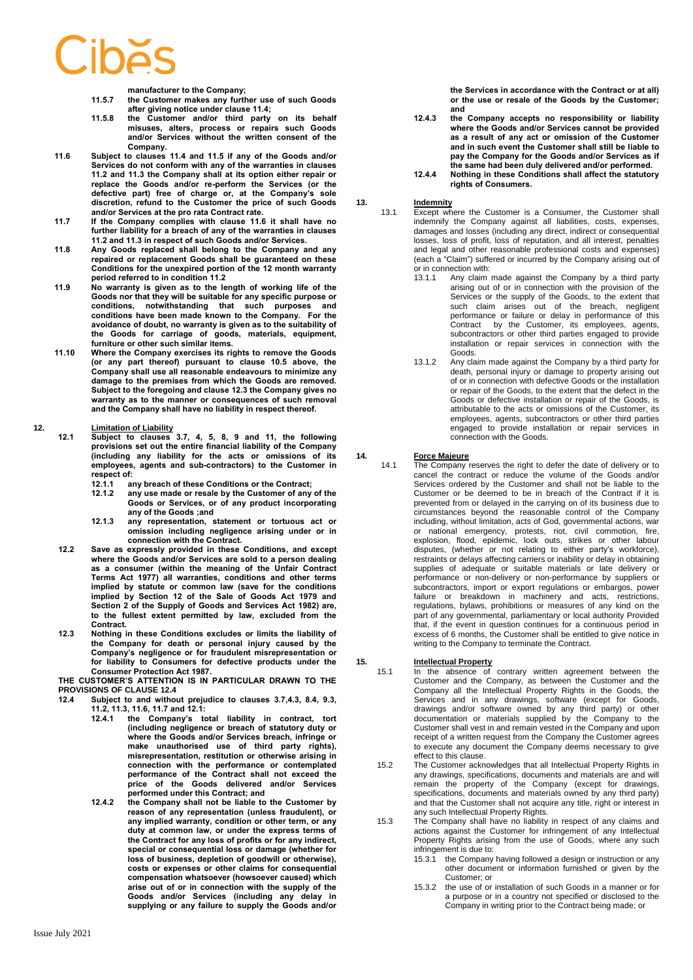**manufacturer to the Company;**

- **11.5.7 the Customer makes any further use of such Goods after giving notice under clause 11.4;**
- **11.5.8 the Customer and/or third party on its behalf misuses, alters, process or repairs such Goods and/or Services without the written consent of the Company.**
- **11.6 Subject to clauses 11.4 and 11.5 if any of the Goods and/or Services do not conform with any of the warranties in clauses 11.2 and 11.3 the Company shall at its option either repair or replace the Goods and/or re-perform the Services (or the defective part) free of charge or, at the Company's sole discretion, refund to the Customer the price of such Goods and/or Services at the pro rata Contract rate.**
- <span id="page-4-1"></span>**11.7 If the Company complies with clause 11.6 it shall have no further liability for a breach of any of the warranties in clauses 11.2 and 11.3 in respect of such Goods and/or Services.**
- **11.8 Any Goods replaced shall belong to the Company and any repaired or replacement Goods shall be guaranteed on these Conditions for the unexpired portion of the 12 month warranty period referred to in condition 11.2**
- **11.9 No warranty is given as to the length of working life of the Goods nor that they will be suitable for any specific purpose or conditions, notwithstanding that such purposes and conditions have been made known to the Company. For the avoidance of doubt, no warranty is given as to the suitability of the Goods for carriage of goods, materials, equipment, furniture or other such similar items.**
- **11.10 Where the Company exercises its rights to remove the Goods (or any part thereof) pursuant to clause 10.5 above, the Company shall use all reasonable endeavours to minimize any damage to the premises from which the Goods are removed. Subject to the foregoing and clause 12.3 the Company gives no warranty as to the manner or consequences of such removal and the Company shall have no liability in respect thereof.**

### **12. Limitation of Liability**

- **12.1 Subject to clauses 3.7, 4, 5, 8, 9 and 11, the following provisions set out the entire financial liability of the Company (including any liability for the acts or omissions of its employees, agents and sub-contractors) to the Customer in respect of:**
	- **12.1.1 any breach of these Conditions or the Contract;**
	- **12.1.2 any use made or resale by the Customer of any of the Goods or Services, or of any product incorporating any of the Goods ;and**
	- **12.1.3 any representation, statement or tortuous act or omission including negligence arising under or in connection with the Contract.**
- **12.2 Save as expressly provided in these Conditions, and except where the Goods and/or Services are sold to a person dealing as a consumer (within the meaning of the Unfair Contract Terms Act 1977) all warranties, conditions and other terms implied by statute or common law (save for the conditions implied by Section 12 of the Sale of Goods Act 1979 and Section 2 of the Supply of Goods and Services Act 1982) are, to the fullest extent permitted by law, excluded from the Contract.**
- **12.3 Nothing in these Conditions excludes or limits the liability of the Company for death or personal injury caused by the Company's negligence or for fraudulent misrepresentation or for liability to Consumers for defective products under the Consumer Protection Act 1987.**

**THE CUSTOMER'S ATTENTION IS IN PARTICULAR DRAWN TO THE PROVISIONS OF CLAUSE [12.4](#page-4-0)**<br>12.4 Subject to and without

- <span id="page-4-0"></span>**12.4 Subject to and without prejudice to clauses 3.7,4.3, [8.4,](#page-2-2) 9.3, [11.2,](#page-3-1) [11.3,](#page-3-2) 11.6, [11.7](#page-4-1) and 12.1:**
	- **12.4.1 the Company's total liability in contract, tort (including negligence or breach of statutory duty or where the Goods and/or Services breach, infringe or make unauthorised use of third party rights), misrepresentation, restitution or otherwise arising in connection with the performance or contemplated performance of the Contract shall not exceed the price of the Goods delivered and/or Services performed under this Contract; and**
	- **12.4.2 the Company shall not be liable to the Customer by reason of any representation (unless fraudulent), or any implied warranty, condition or other term, or any duty at common law, or under the express terms of the Contract for any loss of profits or for any indirect, special or consequential loss or damage (whether for loss of business, depletion of goodwill or otherwise), costs or expenses or other claims for consequential compensation whatsoever (howsoever caused) which arise out of or in connection with the supply of the Goods and/or Services (including any delay in supplying or any failure to supply the Goods and/or**

**the Services in accordance with the Contract or at all) or the use or resale of the Goods by the Customer; and** 

- **12.4.3 the Company accepts no responsibility or liability where the Goods and/or Services cannot be provided as a result of any act or omission of the Customer and in such event the Customer shall still be liable to pay the Company for the Goods and/or Services as if the same had been duly delivered and/or performed.**
- **12.4.4 Nothing in these Conditions shall affect the statutory rights of Consumers.**

- 13. **Indemnity**<br>13.1 Except wh Except where the Customer is a Consumer, the Customer shall indemnify the Company against all liabilities, costs, expenses, damages and losses (including any direct, indirect or consequential losses, loss of profit, loss of reputation, and all interest, penalties and legal and other reasonable professional costs and expenses) (each a "Claim") suffered or incurred by the Company arising out of or in connection with:<br>13.1.1 Any claim
	- Any claim made against the Company by a third party arising out of or in connection with the provision of the Services or the supply of the Goods, to the extent that such claim arises out of the breach, negligent performance or failure or delay in performance of this Contract by the Customer, its employees, agents, subcontractors or other third parties engaged to provide installation or repair services in connection with the Goods.
	- 13.1.2 Any claim made against the Company by a third party for death, personal injury or damage to property arising out of or in connection with defective Goods or the installation or repair of the Goods, to the extent that the defect in the Goods or defective installation or repair of the Goods, is attributable to the acts or omissions of the Customer, its employees, agents, subcontractors or other third parties engaged to provide installation or repair services in connection with the Goods.

## **14. Force Majeure**

14.1 The Company reserves the right to defer the date of delivery or to cancel the contract or reduce the volume of the Goods and/or Services ordered by the Customer and shall not be liable to the Customer or be deemed to be in breach of the Contract if it is prevented from or delayed in the carrying on of its business due to circumstances beyond the reasonable control of the Company including, without limitation, acts of God, governmental actions, war or national emergency, protests, riot, civil commotion, fire, explosion, flood, epidemic, lock outs, strikes or other labour disputes, (whether or not relating to either party's workforce), restraints or delays affecting carriers or inability or delay in obtaining supplies of adequate or suitable materials or late delivery or performance or non-delivery or non-performance by suppliers or subcontractors, import or export regulations or embargos, power failure or breakdown in machinery and acts, restrictions, regulations, bylaws, prohibitions or measures of any kind on the part of any governmental, parliamentary or local authority Provided that, if the event in question continues for a continuous period in excess of 6 months, the Customer shall be entitled to give notice in writing to the Company to terminate the Contract.

## 15. **Intellectual Property**<br>15.1 In the absence of

- In the absence of contrary written agreement between the Customer and the Company, as between the Customer and the Company all the Intellectual Property Rights in the Goods, the Services and in any drawings, software (except for Goods, drawings and/or software owned by any third party) or other documentation or materials supplied by the Company to the Customer shall vest in and remain vested in the Company and upon receipt of a written request from the Company the Customer agrees to execute any document the Company deems necessary to give effect to this clause.
- 15.2 The Customer acknowledges that all Intellectual Property Rights in any drawings, specifications, documents and materials are and will remain the property of the Company (except for drawings, specifications, documents and materials owned by any third party) and that the Customer shall not acquire any title, right or interest in any such Intellectual Property Rights.
- 15.3 The Company shall have no liability in respect of any claims and actions against the Customer for infringement of any Intellectual Property Rights arising from the use of Goods, where any such infringement is due to:
	- 15.3.1 the Company having followed a design or instruction or any other document or information furnished or given by the Customer; or
	- 15.3.2 the use of or installation of such Goods in a manner or for a purpose or in a country not specified or disclosed to the Company in writing prior to the Contract being made; or